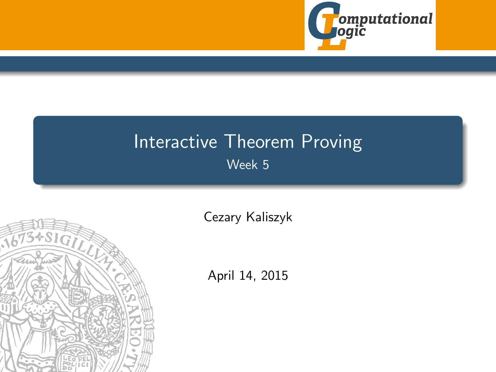

# <span id="page-0-0"></span>Interactive Theorem Proving Week 5



[Cezary Kaliszyk](http://cl-informatik.uibk.ac.at/~cek)

April 14, 2015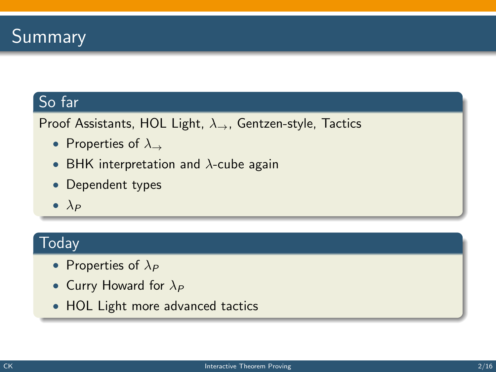### So far

Proof Assistants, HOL Light,  $\lambda_{\rightarrow}$ , Gentzen-style, Tactics

- Properties of  $\lambda_{\rightarrow}$
- BHK interpretation and  $\lambda$ -cube again
- Dependent types
- $\bullet$   $\lambda_P$

### **Today**

- Properties of  $\lambda_P$
- Curry Howard for  $\lambda_P$
- HOL Light more advanced tactics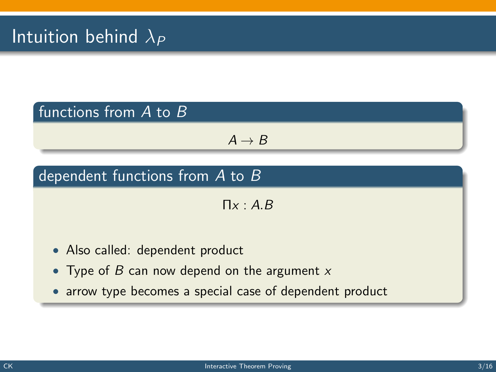### functions from A to B

 $A \rightarrow B$ 

### dependent functions from A to B

 $\Pi_X: A \, B$ 

- Also called: dependent product
- Type of  $B$  can now depend on the argument  $x$
- arrow type becomes a special case of dependent product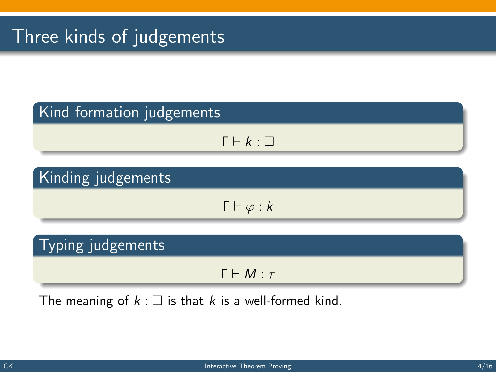# Three kinds of judgements

### Kind formation judgements

$$
\Gamma \vdash k : \Box
$$

### Kinding judgements

 $\Gamma \vdash \varphi : k$ 

### Typing judgements

 $Γ ⊢ M : τ$ 

The meaning of  $k : \square$  is that k is a well-formed kind.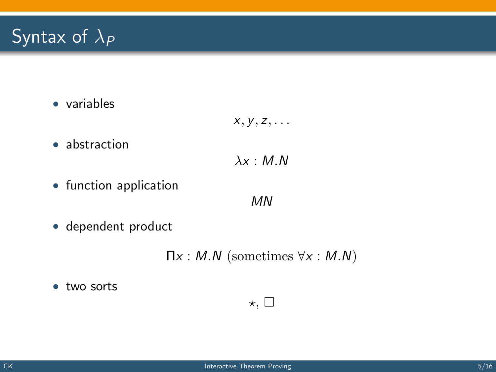# Syntax of  $\lambda_P$

• variables

$$
x, y, z, \ldots
$$

• abstraction

$$
\lambda x : M.N
$$

• function application

MN

• dependent product

 $\Pi x : M.N$  (sometimes  $\forall x : M.N$ )

 $\star$ ,  $\square$ 

• two sorts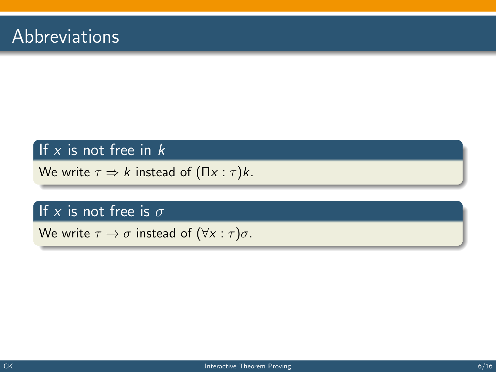### If  $x$  is not free in  $k$

We write  $\tau \Rightarrow k$  instead of  $(\Pi x : \tau)k$ .

### If x is not free is  $\sigma$

We write  $\tau \to \sigma$  instead of  $(\forall x : \tau)\sigma$ .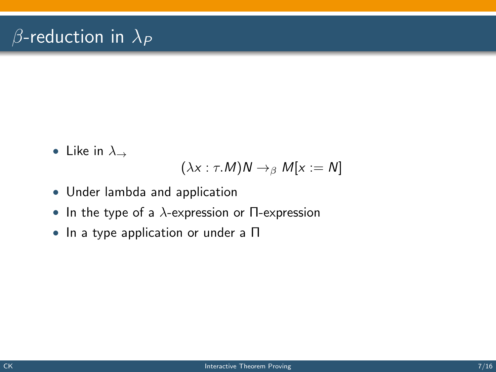# $\beta$ -reduction in  $\lambda_P$

• Like in  $\lambda_{\rightarrow}$ 

$$
(\lambda x : \tau.M)N \to_{\beta} M[x := N]
$$

- Under lambda and application
- In the type of a  $\lambda$ -expression or  $\Pi$ -expression
- In a type application or under a Π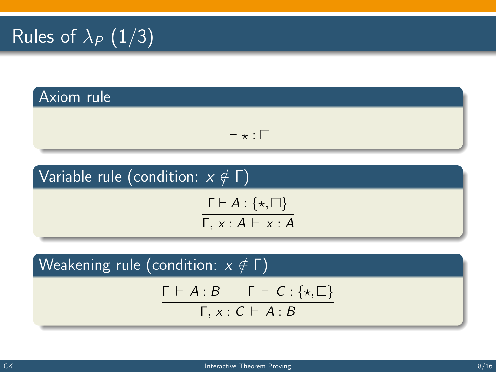# Rules of  $\lambda_P$   $(1/3)$

# Axiom rule

$$
\overline{\mathbb{H}^1 \ast \mathbb{H}}
$$

### Variable rule (condition:  $x \notin \Gamma$ )

$$
\frac{\Gamma \vdash A : \{\star, \Box\}}{\Gamma, x : A \vdash x : A}
$$

Weakening rule (condition:  $x \notin \Gamma$ )

$$
\Gamma \vdash A:B \qquad \Gamma \vdash C:\{\star,\Box\}
$$

 $Γ, x : C \vdash A : B$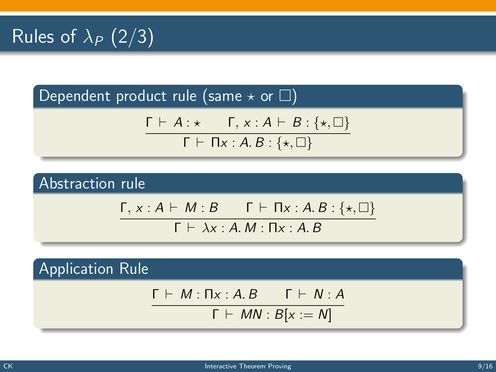Dependent product rule (same  $\star$  or  $\square$ )

$$
\frac{\Gamma \vdash A : \star \qquad \Gamma, \, x : A \vdash B : \{\star, \Box\}}{\Gamma \vdash \Pi x : A. \, B : \{\star, \Box\}}
$$

Abstraction rule

$$
\frac{\Gamma, x:A \vdash M:B \qquad \Gamma \vdash \Pi x:A.B:\{\star,\square\}}{\Gamma \vdash \lambda x:A.M:\Pi x:A.B}
$$

Application Rule

$$
\Gamma \vdash M : \Pi x : A. B \qquad \Gamma \vdash N : A
$$

$$
\Gamma \vdash MN : B[x := N]
$$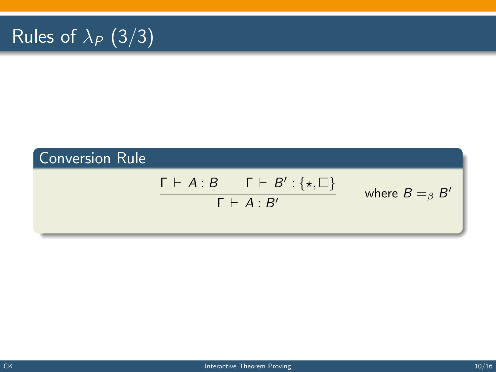# Rules of  $\lambda_P$  (3/3)

# Conversion Rule  $\Gamma \vdash A : B \qquad \Gamma \vdash B' : \{\star, \Box\}$  $Γ ⊢ A · B'$ where  $B =_{\beta} B'$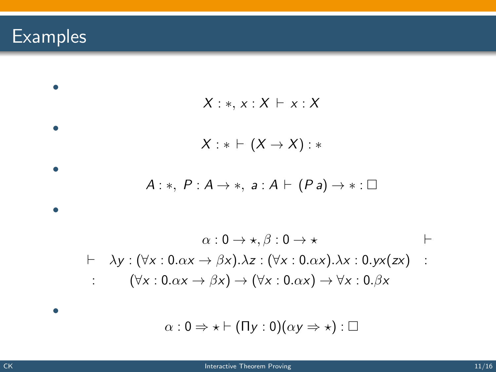# Examples

$$
X:*, x: X \vdash x: X
$$
\n
$$
X: * \vdash (X \rightarrow X): *
$$
\n
$$
A:*, P: A \rightarrow *, a: A \vdash (Pa) \rightarrow *: \Box
$$
\n
$$
\alpha: 0 \rightarrow *, \beta: 0 \rightarrow * \qquad \vdash
$$
\n
$$
\vdash \lambda y: (\forall x: 0.\alpha x \rightarrow \beta x).\lambda z: (\forall x: 0.\alpha x).\lambda x: 0.yx(zx) : (\forall x: 0.\alpha x \rightarrow \beta x) \rightarrow (\forall x: 0.\alpha x) \rightarrow \forall x: 0.\beta x
$$
\n
$$
\alpha: 0 \Rightarrow * \vdash (\Pi y: 0)(\alpha y \Rightarrow *): \Box
$$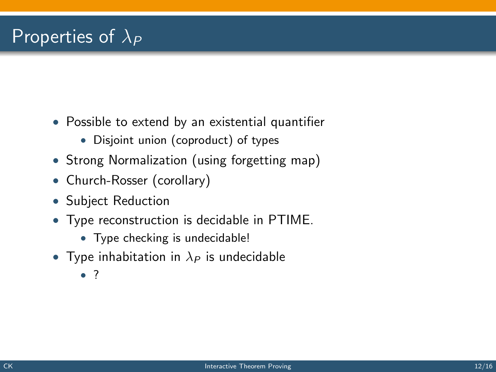# Properties of  $\lambda_P$

- Possible to extend by an existential quantifier
	- Disjoint union (coproduct) of types
- Strong Normalization (using forgetting map)
- Church-Rosser (corollary)
- Subject Reduction
- Type reconstruction is decidable in PTIME.
	- Type checking is undecidable!
- Type inhabitation in  $\lambda_P$  is undecidable
	- ?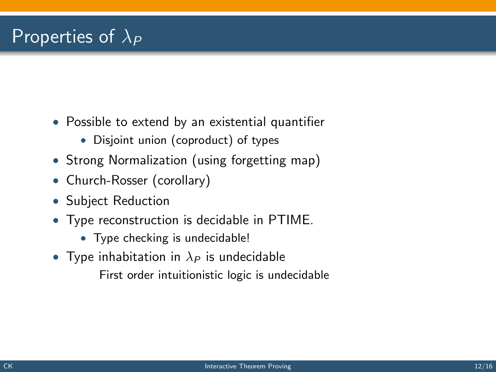# Properties of  $\lambda_P$

- Possible to extend by an existential quantifier
	- Disjoint union (coproduct) of types
- Strong Normalization (using forgetting map)
- Church-Rosser (corollary)
- Subject Reduction
- Type reconstruction is decidable in PTIME.
	- Type checking is undecidable!
- Type inhabitation in  $\lambda_P$  is undecidable First order intuitionistic logic is undecidable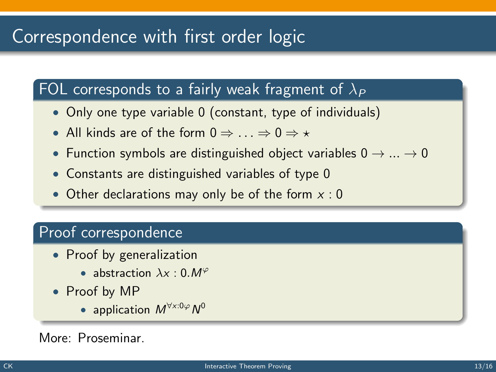# Correspondence with first order logic

### FOL corresponds to a fairly weak fragment of  $\lambda_P$

- Only one type variable 0 (constant, type of individuals)
- All kinds are of the form  $0 \Rightarrow ... \Rightarrow 0 \Rightarrow *$
- Function symbols are distinguished object variables  $0 \rightarrow ... \rightarrow 0$
- Constants are distinguished variables of type 0
- Other declarations may only be of the form  $x : 0$

#### Proof correspondence

- Proof by generalization
	- abstraction  $\lambda x : 0. M^{\varphi}$
- Proof by MP
	- application  $M^{\forall x:0\varphi}N^0$

#### More: Proseminar.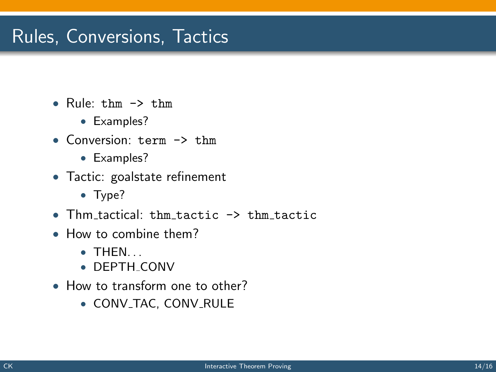# Rules, Conversions, Tactics

- Rule: thm  $\rightarrow$  thm
	- Examples?
- Conversion: term -> thm
	- Examples?
- Tactic: goalstate refinement
	- Type?
- Thm tactical: thm tactic  $\rightarrow$  thm tactic
- How to combine them?
	- $\bullet$  THEN.
	- DEPTH CONV
- How to transform one to other?
	- CONV\_TAC, CONV\_RULE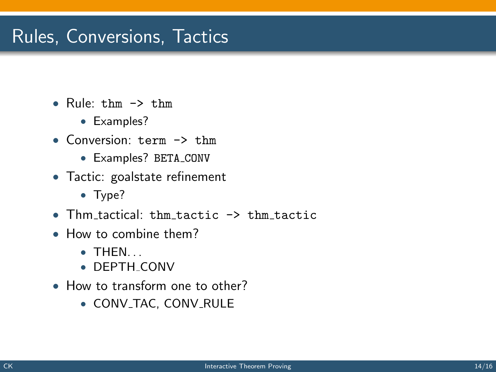# Rules, Conversions, Tactics

- Rule: thm  $\rightarrow$  thm
	- Examples?
- Conversion: term -> thm
	- Examples? BETA CONV
- Tactic: goalstate refinement
	- Type?
- Thm tactical: thm tactic  $\rightarrow$  thm tactic
- How to combine them?
	- $\bullet$  THEN.
	- DEPTH CONV
- How to transform one to other?
	- CONV\_TAC, CONV\_RULE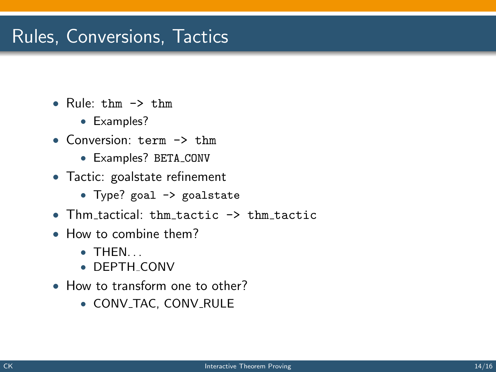## Rules, Conversions, Tactics

- Rule: thm -> thm
	- Examples?
- Conversion: term -> thm
	- Examples? BETA CONV
- Tactic: goalstate refinement
	- Type? goal -> goalstate
- Thm tactical: thm tactic -> thm tactic
- How to combine them?
	- $\bullet$  THEN.
	- DEPTH CONV
- How to transform one to other?
	- CONV\_TAC, CONV\_RULE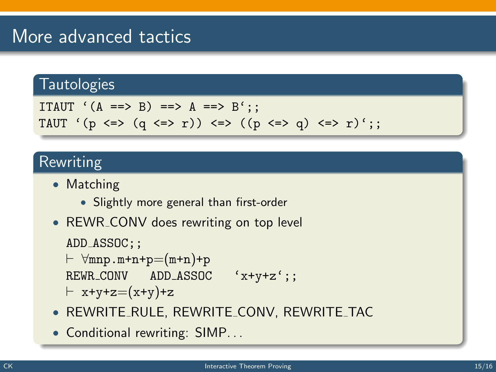### More advanced tactics

### **Tautologies**

```
ITAUT (A == > B) == > A == > B':
TAUT '(p \iff (q \iff r)) \iff ((p \iff q) \iff r);
```
### Rewriting

- Matching
	- Slightly more general than first-order
- REWR\_CONV does rewriting on top level

```
ADD_ASSOC;;
```

```
\vdash \forallmnp.m+n+p=(m+n)+p
REWR CONV ADD ASSOC 'x+y+z';;
```

```
\vdash x+y+z=(x+y)+z
```
- REWRITE RULE, REWRITE CONV, REWRITE TAC
- Conditional rewriting: SIMP...